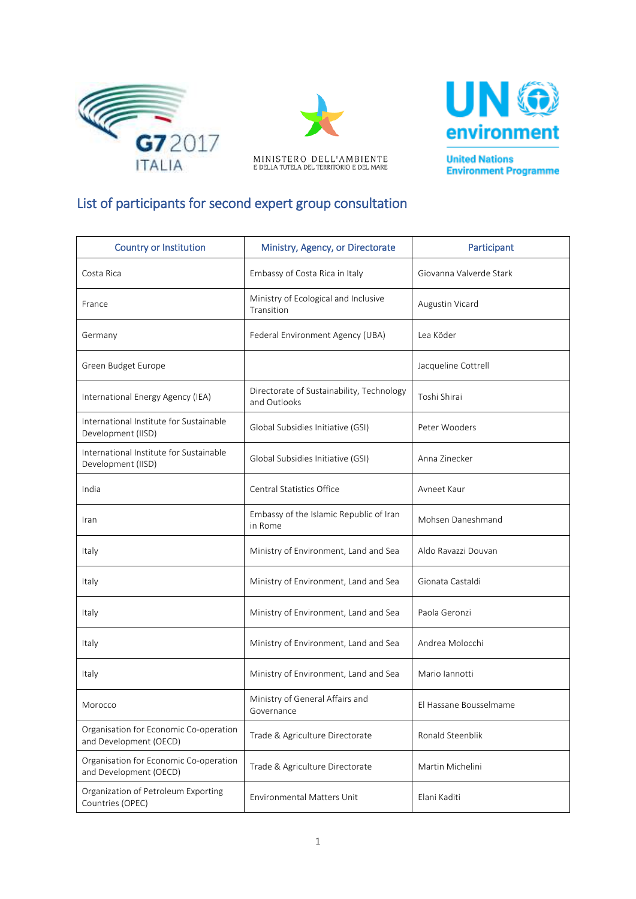





**United Nations Environment Programme** 

## List of participants for second expert group consultation

| <b>Country or Institution</b>                                    | Ministry, Agency, or Directorate                          | Participant             |
|------------------------------------------------------------------|-----------------------------------------------------------|-------------------------|
| Costa Rica                                                       | Embassy of Costa Rica in Italy                            | Giovanna Valverde Stark |
| France                                                           | Ministry of Ecological and Inclusive<br>Transition        | Augustin Vicard         |
| Germany                                                          | Federal Environment Agency (UBA)                          | Lea Köder               |
| Green Budget Europe                                              |                                                           | Jacqueline Cottrell     |
| International Energy Agency (IEA)                                | Directorate of Sustainability, Technology<br>and Outlooks | Toshi Shirai            |
| International Institute for Sustainable<br>Development (IISD)    | Global Subsidies Initiative (GSI)                         | Peter Wooders           |
| International Institute for Sustainable<br>Development (IISD)    | Global Subsidies Initiative (GSI)                         | Anna Zinecker           |
| India                                                            | Central Statistics Office                                 | Avneet Kaur             |
| Iran                                                             | Embassy of the Islamic Republic of Iran<br>in Rome        | Mohsen Daneshmand       |
| Italy                                                            | Ministry of Environment, Land and Sea                     | Aldo Ravazzi Douvan     |
| Italy                                                            | Ministry of Environment, Land and Sea                     | Gionata Castaldi        |
| Italy                                                            | Ministry of Environment, Land and Sea                     | Paola Geronzi           |
| Italy                                                            | Ministry of Environment, Land and Sea                     | Andrea Molocchi         |
| Italy                                                            | Ministry of Environment, Land and Sea                     | Mario lannotti          |
| Morocco                                                          | Ministry of General Affairs and<br>Governance             | El Hassane Bousselmame  |
| Organisation for Economic Co-operation<br>and Development (OECD) | Trade & Agriculture Directorate                           | Ronald Steenblik        |
| Organisation for Economic Co-operation<br>and Development (OECD) | Trade & Agriculture Directorate                           | Martin Michelini        |
| Organization of Petroleum Exporting<br>Countries (OPEC)          | <b>Environmental Matters Unit</b>                         | Elani Kaditi            |